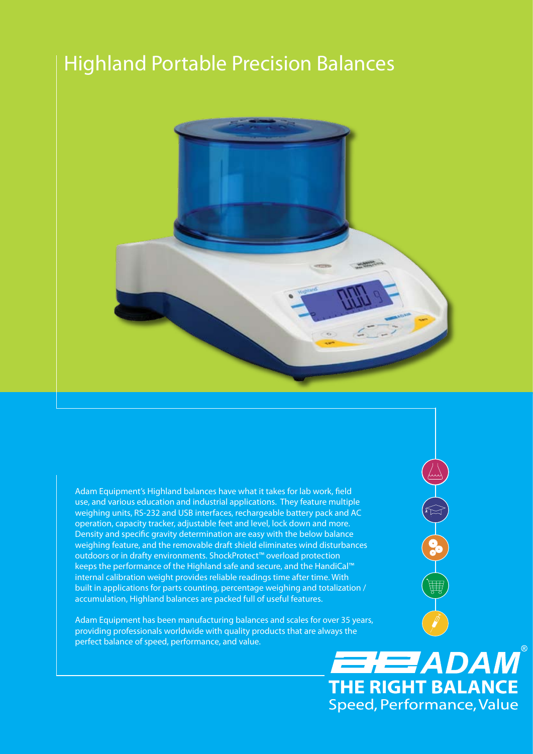## Highland Portable Precision Balances



Adam Equipment's Highland balances have what it takes for lab work, field use, and various education and industrial applications. They feature multiple weighing units, RS-232 and USB interfaces, rechargeable battery pack and AC operation, capacity tracker, adjustable feet and level, lock down and more. Density and specific gravity determination are easy with the below balance weighing feature, and the removable draft shield eliminates wind disturbances outdoors or in drafty environments. ShockProtect™ overload protection keeps the performance of the Highland safe and secure, and the HandiCal™ internal calibration weight provides reliable readings time after time. With built in applications for parts counting, percentage weighing and totalization / accumulation, Highland balances are packed full of useful features.

Adam Equipment has been manufacturing balances and scales for over 35 years, providing professionals worldwide with quality products that are always the perfect balance of speed, performance, and value.

# **EHEZADAM® THE RIGHT BALANCE** Speed, Performance, Value

OCHES

曲